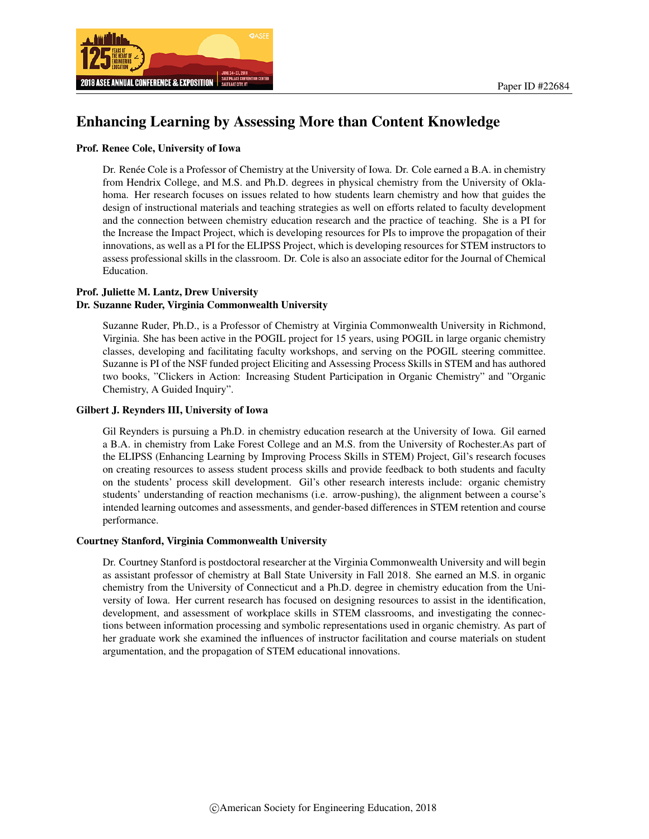

# Enhancing Learning by Assessing More than Content Knowledge

#### Prof. Renee Cole, University of Iowa

Dr. Renée Cole is a Professor of Chemistry at the University of Iowa. Dr. Cole earned a B.A. in chemistry from Hendrix College, and M.S. and Ph.D. degrees in physical chemistry from the University of Oklahoma. Her research focuses on issues related to how students learn chemistry and how that guides the design of instructional materials and teaching strategies as well on efforts related to faculty development and the connection between chemistry education research and the practice of teaching. She is a PI for the Increase the Impact Project, which is developing resources for PIs to improve the propagation of their innovations, as well as a PI for the ELIPSS Project, which is developing resources for STEM instructors to assess professional skills in the classroom. Dr. Cole is also an associate editor for the Journal of Chemical Education.

### Prof. Juliette M. Lantz, Drew University Dr. Suzanne Ruder, Virginia Commonwealth University

Suzanne Ruder, Ph.D., is a Professor of Chemistry at Virginia Commonwealth University in Richmond, Virginia. She has been active in the POGIL project for 15 years, using POGIL in large organic chemistry classes, developing and facilitating faculty workshops, and serving on the POGIL steering committee. Suzanne is PI of the NSF funded project Eliciting and Assessing Process Skills in STEM and has authored two books, "Clickers in Action: Increasing Student Participation in Organic Chemistry" and "Organic Chemistry, A Guided Inquiry".

#### Gilbert J. Reynders III, University of Iowa

Gil Reynders is pursuing a Ph.D. in chemistry education research at the University of Iowa. Gil earned a B.A. in chemistry from Lake Forest College and an M.S. from the University of Rochester.As part of the ELIPSS (Enhancing Learning by Improving Process Skills in STEM) Project, Gil's research focuses on creating resources to assess student process skills and provide feedback to both students and faculty on the students' process skill development. Gil's other research interests include: organic chemistry students' understanding of reaction mechanisms (i.e. arrow-pushing), the alignment between a course's intended learning outcomes and assessments, and gender-based differences in STEM retention and course performance.

#### Courtney Stanford, Virginia Commonwealth University

Dr. Courtney Stanford is postdoctoral researcher at the Virginia Commonwealth University and will begin as assistant professor of chemistry at Ball State University in Fall 2018. She earned an M.S. in organic chemistry from the University of Connecticut and a Ph.D. degree in chemistry education from the University of Iowa. Her current research has focused on designing resources to assist in the identification, development, and assessment of workplace skills in STEM classrooms, and investigating the connections between information processing and symbolic representations used in organic chemistry. As part of her graduate work she examined the influences of instructor facilitation and course materials on student argumentation, and the propagation of STEM educational innovations.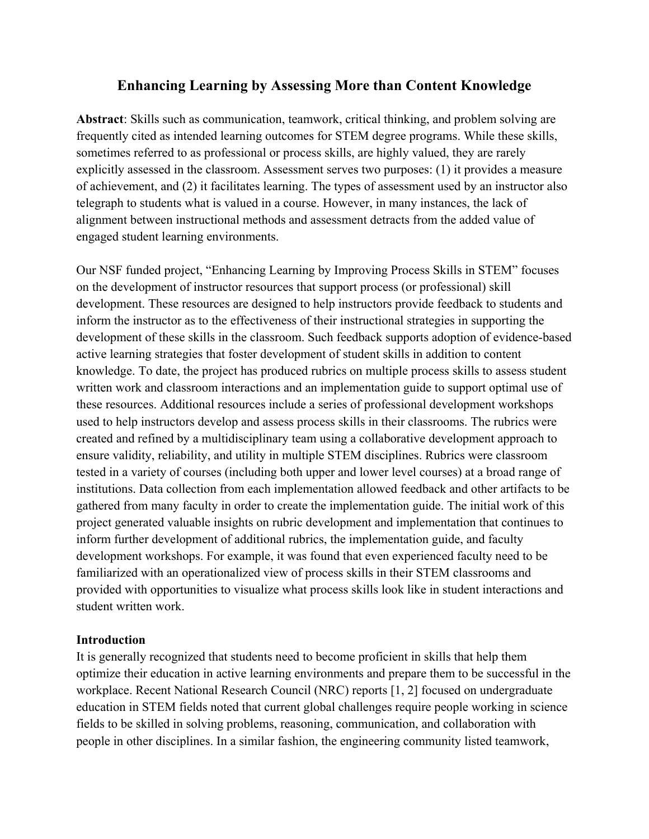# **Enhancing Learning by Assessing More than Content Knowledge**

**Abstract**: Skills such as communication, teamwork, critical thinking, and problem solving are frequently cited as intended learning outcomes for STEM degree programs. While these skills, sometimes referred to as professional or process skills, are highly valued, they are rarely explicitly assessed in the classroom. Assessment serves two purposes: (1) it provides a measure of achievement, and (2) it facilitates learning. The types of assessment used by an instructor also telegraph to students what is valued in a course. However, in many instances, the lack of alignment between instructional methods and assessment detracts from the added value of engaged student learning environments.

Our NSF funded project, "Enhancing Learning by Improving Process Skills in STEM" focuses on the development of instructor resources that support process (or professional) skill development. These resources are designed to help instructors provide feedback to students and inform the instructor as to the effectiveness of their instructional strategies in supporting the development of these skills in the classroom. Such feedback supports adoption of evidence-based active learning strategies that foster development of student skills in addition to content knowledge. To date, the project has produced rubrics on multiple process skills to assess student written work and classroom interactions and an implementation guide to support optimal use of these resources. Additional resources include a series of professional development workshops used to help instructors develop and assess process skills in their classrooms. The rubrics were created and refined by a multidisciplinary team using a collaborative development approach to ensure validity, reliability, and utility in multiple STEM disciplines. Rubrics were classroom tested in a variety of courses (including both upper and lower level courses) at a broad range of institutions. Data collection from each implementation allowed feedback and other artifacts to be gathered from many faculty in order to create the implementation guide. The initial work of this project generated valuable insights on rubric development and implementation that continues to inform further development of additional rubrics, the implementation guide, and faculty development workshops. For example, it was found that even experienced faculty need to be familiarized with an operationalized view of process skills in their STEM classrooms and provided with opportunities to visualize what process skills look like in student interactions and student written work.

### **Introduction**

It is generally recognized that students need to become proficient in skills that help them optimize their education in active learning environments and prepare them to be successful in the workplace. Recent National Research Council (NRC) reports [1, 2] focused on undergraduate education in STEM fields noted that current global challenges require people working in science fields to be skilled in solving problems, reasoning, communication, and collaboration with people in other disciplines. In a similar fashion, the engineering community listed teamwork,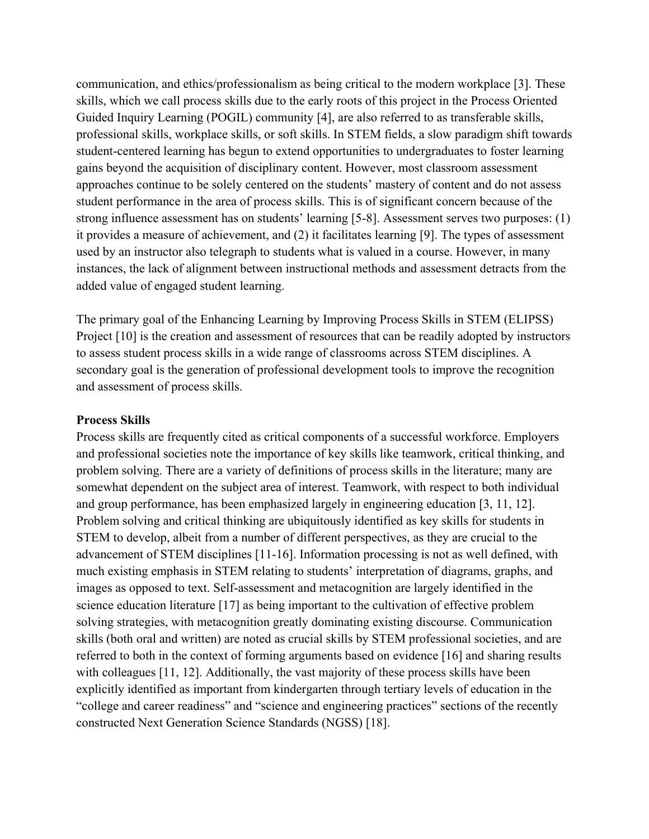communication, and ethics/professionalism as being critical to the modern workplace [3]. These skills, which we call process skills due to the early roots of this project in the Process Oriented Guided Inquiry Learning (POGIL) community [4], are also referred to as transferable skills, professional skills, workplace skills, or soft skills. In STEM fields, a slow paradigm shift towards student-centered learning has begun to extend opportunities to undergraduates to foster learning gains beyond the acquisition of disciplinary content. However, most classroom assessment approaches continue to be solely centered on the students' mastery of content and do not assess student performance in the area of process skills. This is of significant concern because of the strong influence assessment has on students' learning [5-8]. Assessment serves two purposes: (1) it provides a measure of achievement, and (2) it facilitates learning [9]. The types of assessment used by an instructor also telegraph to students what is valued in a course. However, in many instances, the lack of alignment between instructional methods and assessment detracts from the added value of engaged student learning.

The primary goal of the Enhancing Learning by Improving Process Skills in STEM (ELIPSS) Project [10] is the creation and assessment of resources that can be readily adopted by instructors to assess student process skills in a wide range of classrooms across STEM disciplines. A secondary goal is the generation of professional development tools to improve the recognition and assessment of process skills.

### **Process Skills**

Process skills are frequently cited as critical components of a successful workforce. Employers and professional societies note the importance of key skills like teamwork, critical thinking, and problem solving. There are a variety of definitions of process skills in the literature; many are somewhat dependent on the subject area of interest. Teamwork, with respect to both individual and group performance, has been emphasized largely in engineering education [3, 11, 12]. Problem solving and critical thinking are ubiquitously identified as key skills for students in STEM to develop, albeit from a number of different perspectives, as they are crucial to the advancement of STEM disciplines [11-16]. Information processing is not as well defined, with much existing emphasis in STEM relating to students' interpretation of diagrams, graphs, and images as opposed to text. Self-assessment and metacognition are largely identified in the science education literature [17] as being important to the cultivation of effective problem solving strategies, with metacognition greatly dominating existing discourse. Communication skills (both oral and written) are noted as crucial skills by STEM professional societies, and are referred to both in the context of forming arguments based on evidence [16] and sharing results with colleagues [11, 12]. Additionally, the vast majority of these process skills have been explicitly identified as important from kindergarten through tertiary levels of education in the "college and career readiness" and "science and engineering practices" sections of the recently constructed Next Generation Science Standards (NGSS) [18].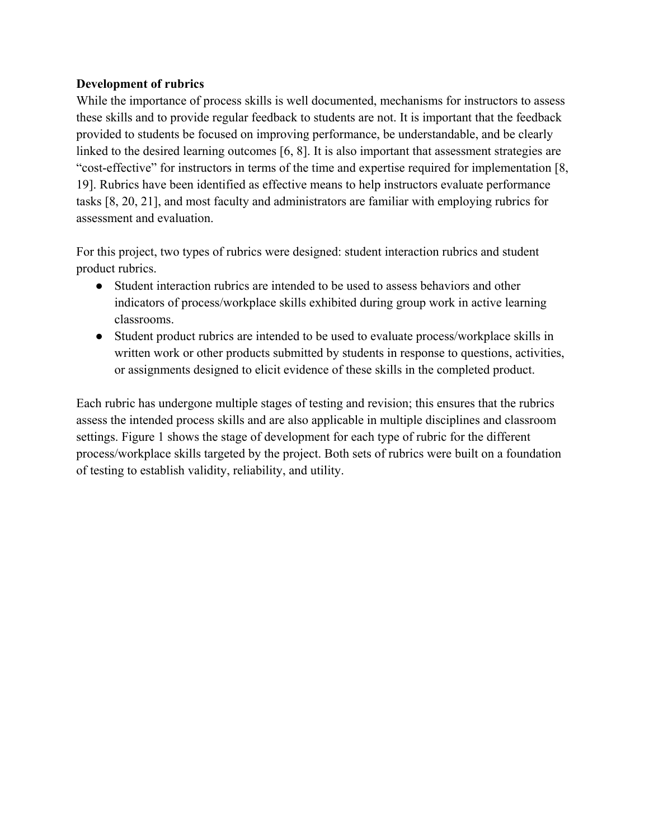## **Development of rubrics**

While the importance of process skills is well documented, mechanisms for instructors to assess these skills and to provide regular feedback to students are not. It is important that the feedback provided to students be focused on improving performance, be understandable, and be clearly linked to the desired learning outcomes [6, 8]. It is also important that assessment strategies are "cost-effective" for instructors in terms of the time and expertise required for implementation [8, 19]. Rubrics have been identified as effective means to help instructors evaluate performance tasks [8, 20, 21], and most faculty and administrators are familiar with employing rubrics for assessment and evaluation.

For this project, two types of rubrics were designed: student interaction rubrics and student product rubrics.

- Student interaction rubrics are intended to be used to assess behaviors and other indicators of process/workplace skills exhibited during group work in active learning classrooms.
- Student product rubrics are intended to be used to evaluate process/workplace skills in written work or other products submitted by students in response to questions, activities, or assignments designed to elicit evidence of these skills in the completed product.

Each rubric has undergone multiple stages of testing and revision; this ensures that the rubrics assess the intended process skills and are also applicable in multiple disciplines and classroom settings. Figure 1 shows the stage of development for each type of rubric for the different process/workplace skills targeted by the project. Both sets of rubrics were built on a foundation of testing to establish validity, reliability, and utility.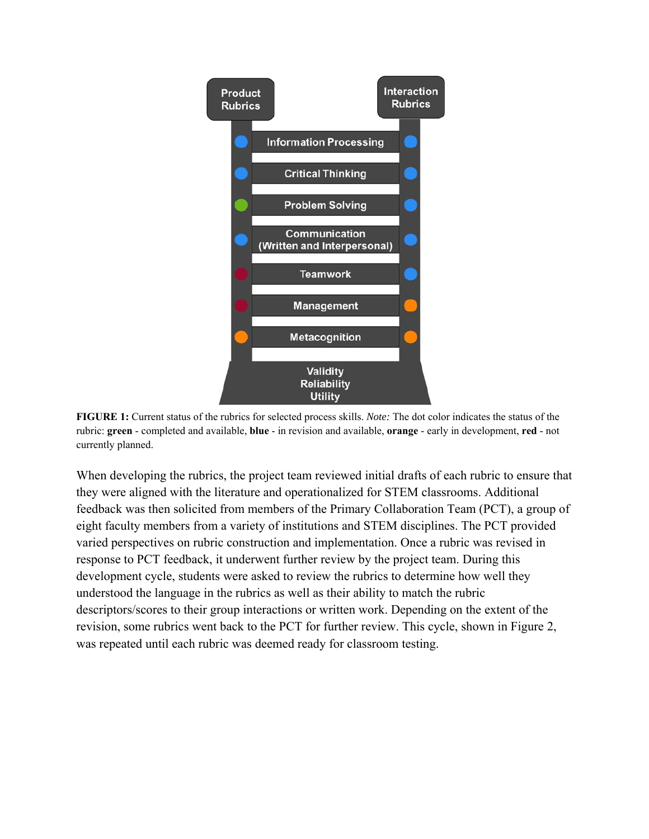

**FIGURE 1:** Current status of the rubrics for selected process skills. *Note:* The dot color indicates the status of the rubric: **green** - completed and available, **blue** - in revision and available, **orange** - early in development, **red** - not currently planned.

When developing the rubrics, the project team reviewed initial drafts of each rubric to ensure that they were aligned with the literature and operationalized for STEM classrooms. Additional feedback was then solicited from members of the Primary Collaboration Team (PCT), a group of eight faculty members from a variety of institutions and STEM disciplines. The PCT provided varied perspectives on rubric construction and implementation. Once a rubric was revised in response to PCT feedback, it underwent further review by the project team. During this development cycle, students were asked to review the rubrics to determine how well they understood the language in the rubrics as well as their ability to match the rubric descriptors/scores to their group interactions or written work. Depending on the extent of the revision, some rubrics went back to the PCT for further review. This cycle, shown in Figure 2, was repeated until each rubric was deemed ready for classroom testing.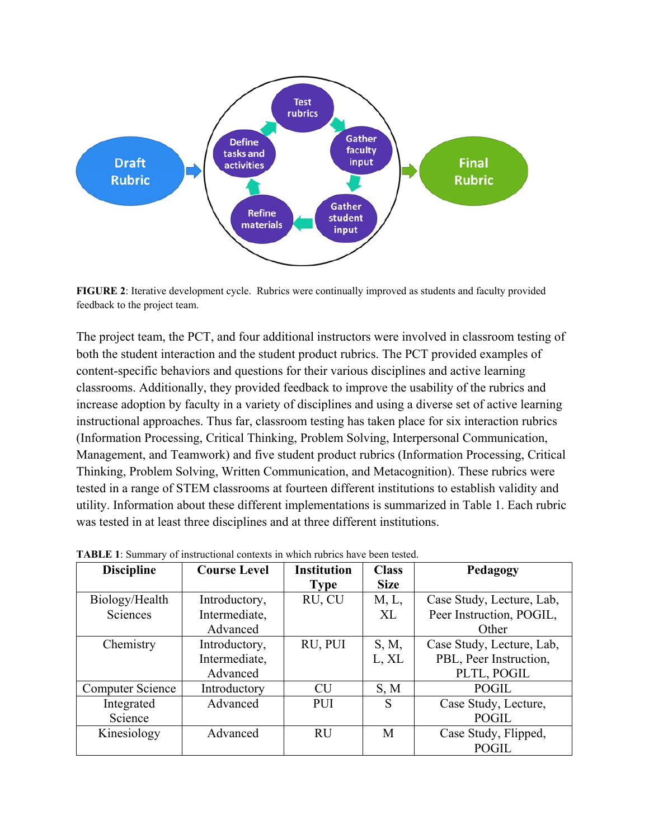

**FIGURE 2**: Iterative development cycle. Rubrics were continually improved as students and faculty provided feedback to the project team.

The project team, the PCT, and four additional instructors were involved in classroom testing of both the student interaction and the student product rubrics. The PCT provided examples of content-specific behaviors and questions for their various disciplines and active learning classrooms. Additionally, they provided feedback to improve the usability of the rubrics and increase adoption by faculty in a variety of disciplines and using a diverse set of active learning instructional approaches. Thus far, classroom testing has taken place for six interaction rubrics (Information Processing, Critical Thinking, Problem Solving, Interpersonal Communication, Management, and Teamwork) and five student product rubrics (Information Processing, Critical Thinking, Problem Solving, Written Communication, and Metacognition). These rubrics were tested in a range of STEM classrooms at fourteen different institutions to establish validity and utility. Information about these different implementations is summarized in Table 1. Each rubric was tested in at least three disciplines and at three different institutions.

| <b>Discipline</b>       | <b>Course Level</b> | <b>Institution</b> | <b>Class</b> | Pedagogy                  |
|-------------------------|---------------------|--------------------|--------------|---------------------------|
|                         |                     | <b>Type</b>        | <b>Size</b>  |                           |
| Biology/Health          | Introductory,       | RU, CU             | M, L,        | Case Study, Lecture, Lab, |
| Sciences                | Intermediate,       |                    | XL           | Peer Instruction, POGIL,  |
|                         | Advanced            |                    |              | Other                     |
| Chemistry               | Introductory,       | RU, PUI            | S, M,        | Case Study, Lecture, Lab, |
|                         | Intermediate,       |                    | L, XL        | PBL, Peer Instruction,    |
|                         | Advanced            |                    |              | PLTL, POGIL               |
| <b>Computer Science</b> | Introductory        | <b>CU</b>          | S, M         | POGIL                     |
| Integrated              | Advanced            | <b>PUI</b>         | S            | Case Study, Lecture,      |
| Science                 |                     |                    |              | POGIL                     |
| Kinesiology             | Advanced            | <b>RU</b>          | M            | Case Study, Flipped,      |
|                         |                     |                    |              | POGIL                     |

**TABLE 1**: Summary of instructional contexts in which rubrics have been tested.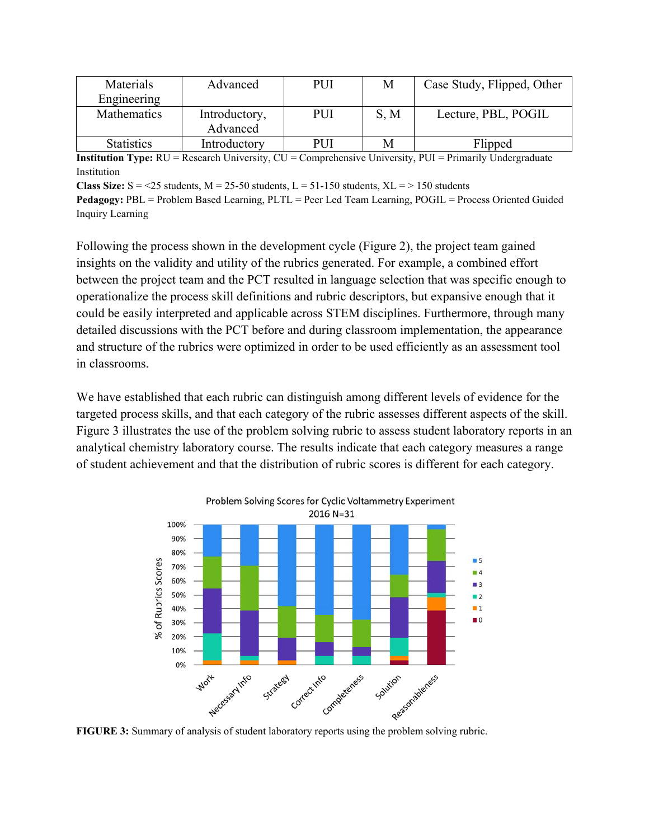| Materials          | Advanced      | PUI | M    | Case Study, Flipped, Other |
|--------------------|---------------|-----|------|----------------------------|
| Engineering        |               |     |      |                            |
| <b>Mathematics</b> | Introductory, | PUI | S, M | Lecture, PBL, POGIL        |
|                    | Advanced      |     |      |                            |
| <b>Statistics</b>  | Introductory  | PUI | M    | Flipped                    |

**Institution Type:** RU = Research University, CU = Comprehensive University, PUI = Primarily Undergraduate Institution

**Class Size:**  $S = \langle 25 \rangle$  students,  $M = 25-50$  students,  $L = 51-150$  students,  $XL = 51-150$  students

**Pedagogy:** PBL = Problem Based Learning, PLTL = Peer Led Team Learning, POGIL = Process Oriented Guided Inquiry Learning

Following the process shown in the development cycle (Figure 2), the project team gained insights on the validity and utility of the rubrics generated. For example, a combined effort between the project team and the PCT resulted in language selection that was specific enough to operationalize the process skill definitions and rubric descriptors, but expansive enough that it could be easily interpreted and applicable across STEM disciplines. Furthermore, through many detailed discussions with the PCT before and during classroom implementation, the appearance and structure of the rubrics were optimized in order to be used efficiently as an assessment tool in classrooms.

We have established that each rubric can distinguish among different levels of evidence for the targeted process skills, and that each category of the rubric assesses different aspects of the skill. Figure 3 illustrates the use of the problem solving rubric to assess student laboratory reports in an analytical chemistry laboratory course. The results indicate that each category measures a range of student achievement and that the distribution of rubric scores is different for each category.



**FIGURE 3:** Summary of analysis of student laboratory reports using the problem solving rubric.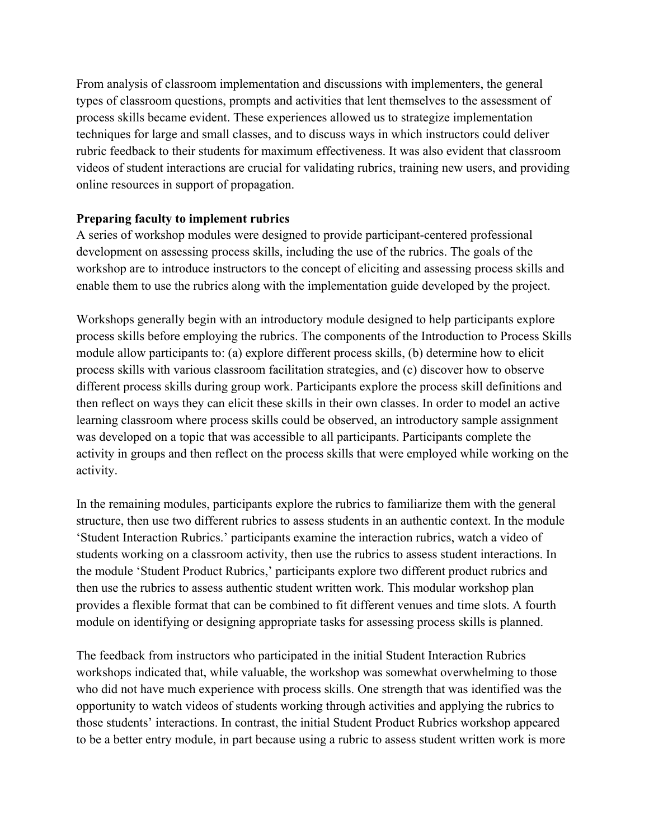From analysis of classroom implementation and discussions with implementers, the general types of classroom questions, prompts and activities that lent themselves to the assessment of process skills became evident. These experiences allowed us to strategize implementation techniques for large and small classes, and to discuss ways in which instructors could deliver rubric feedback to their students for maximum effectiveness. It was also evident that classroom videos of student interactions are crucial for validating rubrics, training new users, and providing online resources in support of propagation.

# **Preparing faculty to implement rubrics**

A series of workshop modules were designed to provide participant-centered professional development on assessing process skills, including the use of the rubrics. The goals of the workshop are to introduce instructors to the concept of eliciting and assessing process skills and enable them to use the rubrics along with the implementation guide developed by the project.

Workshops generally begin with an introductory module designed to help participants explore process skills before employing the rubrics. The components of the Introduction to Process Skills module allow participants to: (a) explore different process skills, (b) determine how to elicit process skills with various classroom facilitation strategies, and (c) discover how to observe different process skills during group work. Participants explore the process skill definitions and then reflect on ways they can elicit these skills in their own classes. In order to model an active learning classroom where process skills could be observed, an introductory sample assignment was developed on a topic that was accessible to all participants. Participants complete the activity in groups and then reflect on the process skills that were employed while working on the activity.

In the remaining modules, participants explore the rubrics to familiarize them with the general structure, then use two different rubrics to assess students in an authentic context. In the module 'Student Interaction Rubrics.' participants examine the interaction rubrics, watch a video of students working on a classroom activity, then use the rubrics to assess student interactions. In the module 'Student Product Rubrics,' participants explore two different product rubrics and then use the rubrics to assess authentic student written work. This modular workshop plan provides a flexible format that can be combined to fit different venues and time slots. A fourth module on identifying or designing appropriate tasks for assessing process skills is planned.

The feedback from instructors who participated in the initial Student Interaction Rubrics workshops indicated that, while valuable, the workshop was somewhat overwhelming to those who did not have much experience with process skills. One strength that was identified was the opportunity to watch videos of students working through activities and applying the rubrics to those students' interactions. In contrast, the initial Student Product Rubrics workshop appeared to be a better entry module, in part because using a rubric to assess student written work is more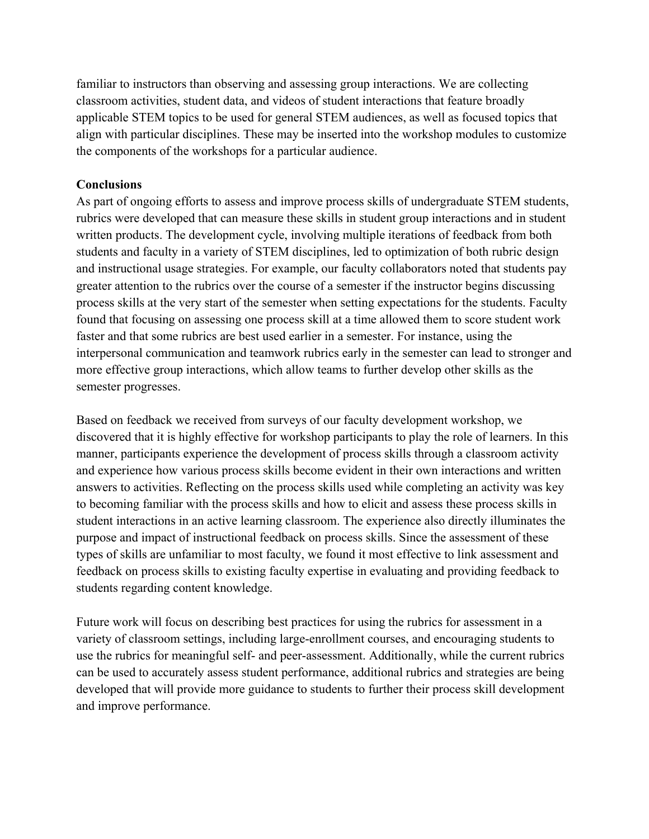familiar to instructors than observing and assessing group interactions. We are collecting classroom activities, student data, and videos of student interactions that feature broadly applicable STEM topics to be used for general STEM audiences, as well as focused topics that align with particular disciplines. These may be inserted into the workshop modules to customize the components of the workshops for a particular audience.

# **Conclusions**

As part of ongoing efforts to assess and improve process skills of undergraduate STEM students, rubrics were developed that can measure these skills in student group interactions and in student written products. The development cycle, involving multiple iterations of feedback from both students and faculty in a variety of STEM disciplines, led to optimization of both rubric design and instructional usage strategies. For example, our faculty collaborators noted that students pay greater attention to the rubrics over the course of a semester if the instructor begins discussing process skills at the very start of the semester when setting expectations for the students. Faculty found that focusing on assessing one process skill at a time allowed them to score student work faster and that some rubrics are best used earlier in a semester. For instance, using the interpersonal communication and teamwork rubrics early in the semester can lead to stronger and more effective group interactions, which allow teams to further develop other skills as the semester progresses.

Based on feedback we received from surveys of our faculty development workshop, we discovered that it is highly effective for workshop participants to play the role of learners. In this manner, participants experience the development of process skills through a classroom activity and experience how various process skills become evident in their own interactions and written answers to activities. Reflecting on the process skills used while completing an activity was key to becoming familiar with the process skills and how to elicit and assess these process skills in student interactions in an active learning classroom. The experience also directly illuminates the purpose and impact of instructional feedback on process skills. Since the assessment of these types of skills are unfamiliar to most faculty, we found it most effective to link assessment and feedback on process skills to existing faculty expertise in evaluating and providing feedback to students regarding content knowledge.

Future work will focus on describing best practices for using the rubrics for assessment in a variety of classroom settings, including large-enrollment courses, and encouraging students to use the rubrics for meaningful self- and peer-assessment. Additionally, while the current rubrics can be used to accurately assess student performance, additional rubrics and strategies are being developed that will provide more guidance to students to further their process skill development and improve performance.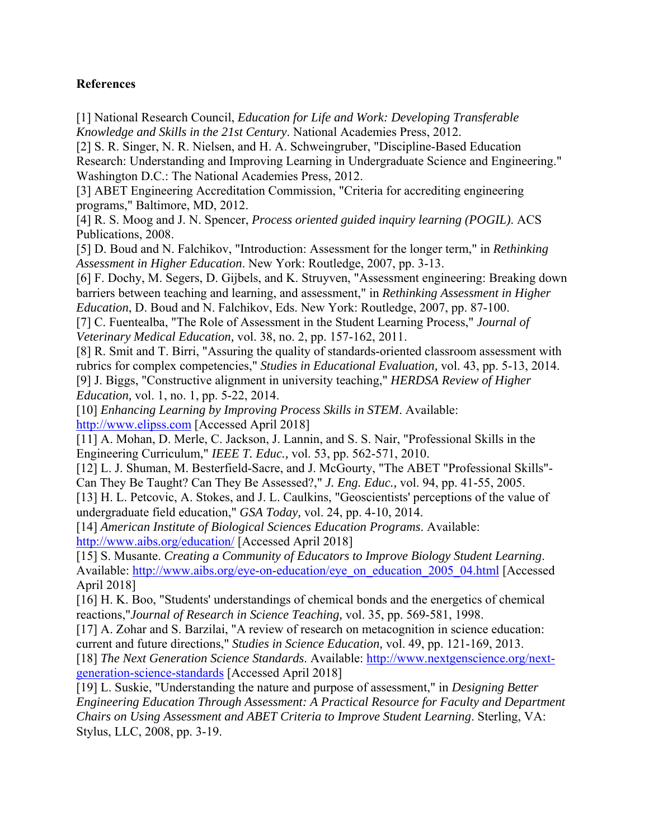## **References**

[1] National Research Council, *Education for Life and Work: Developing Transferable Knowledge and Skills in the 21st Century*. National Academies Press, 2012.

[2] S. R. Singer, N. R. Nielsen, and H. A. Schweingruber, "Discipline-Based Education Research: Understanding and Improving Learning in Undergraduate Science and Engineering." Washington D.C.: The National Academies Press, 2012.

[3] ABET Engineering Accreditation Commission, "Criteria for accrediting engineering programs," Baltimore, MD, 2012.

[4] R. S. Moog and J. N. Spencer, *Process oriented guided inquiry learning (POGIL)*. ACS Publications, 2008.

[5] D. Boud and N. Falchikov, "Introduction: Assessment for the longer term," in *Rethinking Assessment in Higher Education*. New York: Routledge, 2007, pp. 3-13.

[6] F. Dochy, M. Segers, D. Gijbels, and K. Struyven, "Assessment engineering: Breaking down barriers between teaching and learning, and assessment," in *Rethinking Assessment in Higher Education*, D. Boud and N. Falchikov, Eds. New York: Routledge, 2007, pp. 87-100.

[7] C. Fuentealba, "The Role of Assessment in the Student Learning Process," *Journal of Veterinary Medical Education,* vol. 38, no. 2, pp. 157-162, 2011.

[8] R. Smit and T. Birri, "Assuring the quality of standards-oriented classroom assessment with rubrics for complex competencies," *Studies in Educational Evaluation,* vol. 43, pp. 5-13, 2014. [9] J. Biggs, "Constructive alignment in university teaching," *HERDSA Review of Higher Education,* vol. 1, no. 1, pp. 5-22, 2014.

[10] *Enhancing Learning by Improving Process Skills in STEM*. Available: http://www.elipss.com [Accessed April 2018]

[11] A. Mohan, D. Merle, C. Jackson, J. Lannin, and S. S. Nair, "Professional Skills in the Engineering Curriculum," *IEEE T. Educ.,* vol. 53, pp. 562-571, 2010.

[12] L. J. Shuman, M. Besterfield-Sacre, and J. McGourty, "The ABET "Professional Skills"-Can They Be Taught? Can They Be Assessed?," *J. Eng. Educ.,* vol. 94, pp. 41-55, 2005.

[13] H. L. Petcovic, A. Stokes, and J. L. Caulkins, "Geoscientists' perceptions of the value of undergraduate field education," *GSA Today,* vol. 24, pp. 4-10, 2014.

[14] *American Institute of Biological Sciences Education Programs*. Available: http://www.aibs.org/education/ [Accessed April 2018]

[15] S. Musante. *Creating a Community of Educators to Improve Biology Student Learning*. Available: http://www.aibs.org/eye-on-education/eye\_on\_education\_2005\_04.html [Accessed] April 2018]

[16] H. K. Boo, "Students' understandings of chemical bonds and the energetics of chemical reactions,"*Journal of Research in Science Teaching,* vol. 35, pp. 569-581, 1998.

[17] A. Zohar and S. Barzilai, "A review of research on metacognition in science education: current and future directions," *Studies in Science Education,* vol. 49, pp. 121-169, 2013.

[18] *The Next Generation Science Standards*. Available: http://www.nextgenscience.org/nextgeneration-science-standards [Accessed April 2018]

[19] L. Suskie, "Understanding the nature and purpose of assessment," in *Designing Better Engineering Education Through Assessment: A Practical Resource for Faculty and Department Chairs on Using Assessment and ABET Criteria to Improve Student Learning*. Sterling, VA: Stylus, LLC, 2008, pp. 3-19.